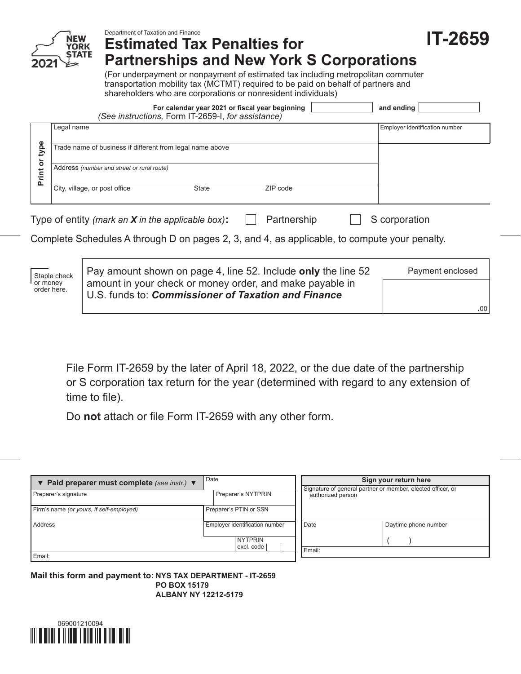

| File Form IT-2659 by the later of April 18, 2022, or the due date of the partnership |
|--------------------------------------------------------------------------------------|
| or S corporation tax return for the year (determined with regard to any extension of |

**.**00

time to file).

Do **not** attach or file Form IT‑2659 with any other form.

U.S. funds to: *Commissioner of Taxation and Finance*

| ▼ Paid preparer must complete (see instr.) ▼ | Date                           |  | Sign your return here                                                            |                      |  |  |  |
|----------------------------------------------|--------------------------------|--|----------------------------------------------------------------------------------|----------------------|--|--|--|
| Preparer's signature                         | Preparer's NYTPRIN             |  | Signature of general partner or member, elected officer, or<br>authorized person |                      |  |  |  |
| Firm's name (or yours, if self-employed)     | Preparer's PTIN or SSN         |  |                                                                                  |                      |  |  |  |
| Address                                      | Employer identification number |  | Date                                                                             | Daytime phone number |  |  |  |
|                                              | <b>NYTPRIN</b><br>excl. code   |  |                                                                                  |                      |  |  |  |
| Email:                                       |                                |  | Email:                                                                           |                      |  |  |  |

**Mail this form and payment to: NYS TAX DEPARTMENT - IT-2659 PO BOX 15179 ALBANY NY 12212-5179**

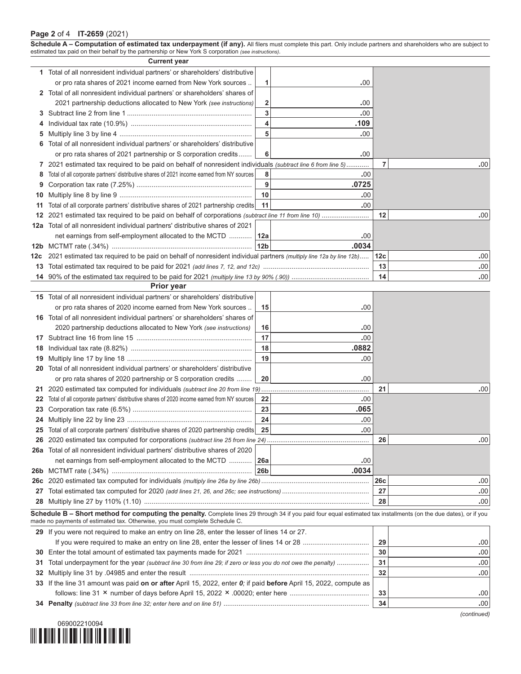## **Page 2** of 4 **IT-2659** (2021)

|            | Schedule A - Computation of estimated tax underpayment (if any). All filers must complete this part. Only include partners and shareholders who are subject to<br>estimated tax paid on their behalf by the partnership or New York S corporation (see instructions). |                         |              |                 |                  |
|------------|-----------------------------------------------------------------------------------------------------------------------------------------------------------------------------------------------------------------------------------------------------------------------|-------------------------|--------------|-----------------|------------------|
|            | <b>Current year</b>                                                                                                                                                                                                                                                   |                         |              |                 |                  |
|            | 1 Total of all nonresident individual partners' or shareholders' distributive                                                                                                                                                                                         |                         |              |                 |                  |
|            | or pro rata shares of 2021 income earned from New York sources                                                                                                                                                                                                        | 1                       | .00          |                 |                  |
|            | 2 Total of all nonresident individual partners' or shareholders' shares of                                                                                                                                                                                            |                         |              |                 |                  |
|            | 2021 partnership deductions allocated to New York (see instructions)                                                                                                                                                                                                  | $\mathbf{2}$            | .00          |                 |                  |
| 3          |                                                                                                                                                                                                                                                                       | 3                       | .00          |                 |                  |
| 4          |                                                                                                                                                                                                                                                                       | $\overline{\mathbf{4}}$ | .109         |                 |                  |
| 5          |                                                                                                                                                                                                                                                                       | 5                       | .00          |                 |                  |
| 6          | Total of all nonresident individual partners' or shareholders' distributive                                                                                                                                                                                           |                         |              |                 |                  |
|            | or pro rata shares of 2021 partnership or S corporation credits                                                                                                                                                                                                       | 6                       | .00          |                 |                  |
| 7          | 2021 estimated tax required to be paid on behalf of nonresident individuals (subtract line 6 from line 5)                                                                                                                                                             |                         |              | $\overline{7}$  | .00              |
| 8          | Total of all corporate partners' distributive shares of 2021 income earned from NY sources                                                                                                                                                                            | 8                       | .00          |                 |                  |
| 9          |                                                                                                                                                                                                                                                                       | $\boldsymbol{9}$        | .0725        |                 |                  |
| 10         |                                                                                                                                                                                                                                                                       | 10                      | .00          |                 |                  |
| 11         | Total of all corporate partners' distributive shares of 2021 partnership credits                                                                                                                                                                                      | 11                      | .00          |                 |                  |
| 12         |                                                                                                                                                                                                                                                                       |                         |              | 12              | .00              |
| 12a        | Total of all nonresident individual partners' distributive shares of 2021                                                                                                                                                                                             |                         |              |                 |                  |
|            | net earnings from self-employment allocated to the MCTD                                                                                                                                                                                                               | 12a                     | .00<br>.0034 |                 |                  |
| 12b<br>12c | 2021 estimated tax required to be paid on behalf of nonresident individual partners (multiply line 12a by line 12b)                                                                                                                                                   | 12b                     |              | 12 <sub>c</sub> | .00              |
| 13         |                                                                                                                                                                                                                                                                       |                         |              | 13              | .00              |
|            |                                                                                                                                                                                                                                                                       |                         |              | 14              | .00              |
|            | <b>Prior year</b>                                                                                                                                                                                                                                                     |                         |              |                 |                  |
|            | 15 Total of all nonresident individual partners' or shareholders' distributive                                                                                                                                                                                        |                         |              |                 |                  |
|            | or pro rata shares of 2020 income earned from New York sources                                                                                                                                                                                                        | 15                      | .00          |                 |                  |
|            | 16 Total of all nonresident individual partners' or shareholders' shares of                                                                                                                                                                                           |                         |              |                 |                  |
|            | 2020 partnership deductions allocated to New York (see instructions)                                                                                                                                                                                                  | 16                      | .00          |                 |                  |
| 17         |                                                                                                                                                                                                                                                                       | 17                      | .00          |                 |                  |
| 18         |                                                                                                                                                                                                                                                                       | 18                      | .0882        |                 |                  |
| 19         |                                                                                                                                                                                                                                                                       | 19                      | 00.          |                 |                  |
| 20         | Total of all nonresident individual partners' or shareholders' distributive                                                                                                                                                                                           |                         |              |                 |                  |
|            | or pro rata shares of 2020 partnership or S corporation credits                                                                                                                                                                                                       | 20                      | .00          |                 |                  |
| 21         |                                                                                                                                                                                                                                                                       |                         |              | 21              | .00              |
| 22         | Total of all corporate partners' distributive shares of 2020 income earned from NY sources                                                                                                                                                                            | 22                      | .00          |                 |                  |
| 23         |                                                                                                                                                                                                                                                                       | 23                      | .065         |                 |                  |
|            |                                                                                                                                                                                                                                                                       | ${\bf 24}$              | .00.         |                 |                  |
| 25         | Total of all corporate partners' distributive shares of 2020 partnership credits                                                                                                                                                                                      | 25                      | .00          |                 |                  |
| 26         |                                                                                                                                                                                                                                                                       |                         |              | 26              | .00 <sub>1</sub> |
| 26а        | Total of all nonresident individual partners' distributive shares of 2020<br>net earnings from self-employment allocated to the MCTD                                                                                                                                  | 26a                     | .00          |                 |                  |
| 26b        |                                                                                                                                                                                                                                                                       | 26b                     | .0034        |                 |                  |
| 26с        |                                                                                                                                                                                                                                                                       |                         |              | 26c             | .00.             |
| 27         |                                                                                                                                                                                                                                                                       |                         |              | 27              | .00              |
| 28         |                                                                                                                                                                                                                                                                       |                         |              | 28              | .00              |
|            | Schedule B - Short method for computing the penalty. Complete lines 29 through 34 if you paid four equal estimated tax installments (on the due dates), or if you                                                                                                     |                         |              |                 |                  |
|            | made no payments of estimated tax. Otherwise, you must complete Schedule C.                                                                                                                                                                                           |                         |              |                 |                  |
|            | 29 If you were not required to make an entry on line 28, enter the lesser of lines 14 or 27.                                                                                                                                                                          |                         |              |                 |                  |
|            |                                                                                                                                                                                                                                                                       |                         |              |                 | .00              |
| 30         |                                                                                                                                                                                                                                                                       | 30                      | .00          |                 |                  |
| 31         | Total underpayment for the year (subtract line 30 from line 29; if zero or less you do not owe the penalty)                                                                                                                                                           |                         |              |                 | .00              |
| 32         |                                                                                                                                                                                                                                                                       |                         |              |                 | .00              |
|            | 33 If the line 31 amount was paid on or after April 15, 2022, enter 0; if paid before April 15, 2022, compute as                                                                                                                                                      |                         |              |                 |                  |
|            |                                                                                                                                                                                                                                                                       |                         |              | 33<br>34        | .00              |
|            |                                                                                                                                                                                                                                                                       |                         |              |                 | .00              |



*(continued)*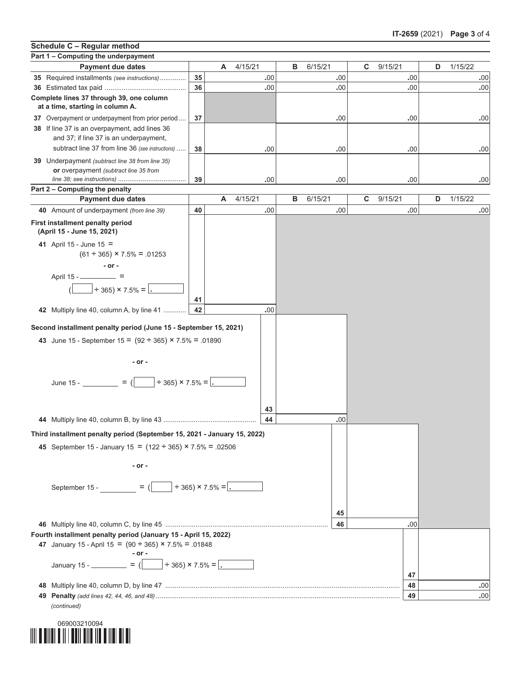## **Part 1 – Computing the underpayment Payment due dates A** 4/15/21 **B** 6/15/21 **C** 9/15/21 **D** 1/15/22 **35** Required installments *(see instructions)*.............. **35 .**00 **.**00 **.**00 **.**00 **36** Estimated tax paid ........................................... **36 .**00 **.**00 **.**00 **.**00 **Complete lines 37 through 39, one column at a time, starting in column A. 37** Overpayment or underpayment from prior period.... **37 .**00 **.**00 **.**00 **38** If line 37 is an overpayment, add lines 36 and 37; if line 37 is an underpayment, subtract line 37 from line 36 *(see instructions)* ..... **38 .**00 **.**00 **.**00 **.**00 **39** Underpayment *(subtract line 38 from line 35)* **or** overpayment *(subtract line 35 from line 38; see instructions)* .................................... **39 .**00 **.**00 **.**00 **.**00 **Part 2 – Computing the penalty 40** Amount of underpayment *(from line 39)* **40 .**00 **.**00 **.**00 **.**00 **First installment penalty period (April 15 - June 15, 2021) 41** April 15 - June 15 =  $(61 \div 365) \times 7.5\% = .01253$ **- or -** April 15 - =  $\div$  365) × 7.5% = **41 42** Multiply line 40, column A, by line 41 ............ **42 .**00 **Schedule C – Regular method Payment due dates A** 4/15/21 **B** 6/15/21 **C** 9/15/21 **D** 1/15/22 *(continued)* **Third installment penalty period (September 15, 2021 - January 15, 2022) 45** September 15 - January 15 = (122 ÷ 365) × 7.5% = .02506 **- or -** September 15 -  $=$   $($   $+$  365)  $\times$  7.5% = **145 46** Multiply line 40, column C, by line 45 ...................................................................................... **46 .**00 **Fourth installment penalty period (January 15 - April 15, 2022) 47** January 15 - April 15 =  $(90 \div 365) \times 7.5\% = .01848$ **- or - January 15 - \_\_\_\_\_\_\_\_\_ =**  $(\boxed{\phantom{0}} \div 365) \times 7.5\% = .$ **47 48** Multiply line 40, column D, by line 47 ............................................................................................................................ **48 .**00 **49 Penalty** *(add lines 42, 44, 46, and 48)* ................................................................................................................................. **49 .**00 **Second installment penalty period (June 15 - September 15, 2021) 43** June 15 - September  $15 = (92 \div 365) \times 7.5\% = .01890$ **- or -**  $\frac{1}{2}$  June 15 -  $\frac{1}{2}$  =  $\frac{1}{2}$  =  $\frac{1}{2}$  =  $\frac{1}{2}$  =  $\frac{1}{2}$  =  $\frac{1}{2}$  =  $\frac{1}{2}$ **43 44** Multiply line 40, column B, by line 43 ................................................. **44 .**00